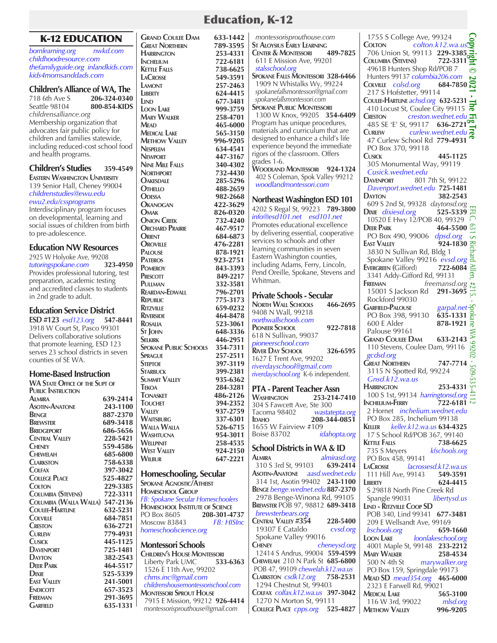# K-12 EDUCATION

*bornlearning.org nwkd.com childhoodresource.com thefamilyguide.org inlandkids.com kids4momsanddads.com*

#### **Children's Alliance of WA, The**

718 6th Ave S **206-324-0340**<br>Seattle 98104 **800-854-KIDS** Seattle 98104 **800-854-KIDS** *childrensalliance.org* Membership organization that advocates fair public policy for children and families statewide, including reduced-cost school food and health programs.

# **Children's Studies 359-4549**

**Eastern Washington University** 139 Senior Hall, Cheney 99004 *childrenstudies@ewu.edu ewu2.edu/cssprograms*

Interdisciplinary program focuses on developmental, learning and social issues of children from birth to pre-adolescence.

# **Education NW Resources**

2925 W Holyoke Ave, 99208<br>tutoringspokane.com 323-4950 *tutoringspokane.com* **323-4950** Provides professional tutoring, test preparation, academic testing and accredited classes to students in 2nd grade to adult.

### **Education Service District**

**ESD #123** *esd123.org* **547-8441** 3918 W Court St, Pasco 99301 Delivers collaborative solutions that promote learning, ESD 123 serves 23 school districts in seven counties of SE WA.

# **Home-Based Instruction**

**WA State Office of the Supt of Public Instruction Almira 639-2414 Asotin-Anatone 243-1100 Benge 887-2370 Brewster 689-3418 BRIDGEPORT** 686-5656<br>Central Valley 228-5421 **CENTRAL VALLEY**<br>**CHENEY Cheney 559-4586 Chewelah 685-6800 Clarkston 758-6338 Colfax 397-3042 COLLEGE PLACE Colton 229-3385 Columbia (Stevens) 722-3311 Columbia (Walla Walla) 547-2136 Coulee-Hartline 632-5231 Colville 684-7851 Creston 636-2721 Curlew 779-4931 Cusick 445-1125 Davenport 725-1481 Dayton 382-2543 Deer Park 464-5517 D**IXIE 525-5339<br> **EAST VALLEY** 241-5001 **EAST VALLEY**<br>**ENDICOTT ENDICOTT** 657-3523<br> **FREEMAN** 291-3695 **FREEMAN** 291-3695<br> **GARFIELD** 635-1331 **Garfield 635-1331**

**GRAND COULEE DAM 633-1442**<br> **GREAT NORTHERN 789-3595 Great Northern 789-3595 HARRINGTON**<br>INCHELIUM **Inchelium 722-6181 KETTLE FALLS**<br>**LACROSSE LaCrosse 549-3591 LAMONT** 257-2463<br> **LIBERTY** 624-4415 **LIBERTY 624-4415**<br> **LIND 677-3481 Lind 677-3481 LOON** LAKE **Mary Walker 258-4701 Mead 465-6000 MEDICAL LAKE Methow Valley 996-9205**<br>Nespelem 634**.4541 Nespelem 634-4541 Newport 447-3167 NINE MILE FALLS**<br>**NORTHPORT NORTHPORT 732-4430**<br> **CAKESDALE** 285-5296 **O**AKESDALE 285-5296<br> **OTHELLO** 488-2659 **OTHELLO** 488-2659<br> **ODESSA** 982-2668 **Odessa 982-2668 O**KANOGAN<br>**Q**MAK **Omak 826-0320 Onion Creek 732-4240 ORCHARD PRAIRIE**<br>ORIENT **ORIENT** 684-6873<br> **OROVILLE** 476-2281 **Oroville 476-2281 PALOUSE 878-1921**<br>**PATEROS 923-2751 PATEROS** 923-2751<br>**POMEROY** 843-3393 **POMEROY 843-3393**<br>**PRESCOTT 849-2217 Prescott 849-2217 Pullman 332-3581 REARDAN-EDWALL**<br>**REPUBLIC Republic 775-3173 RITZVILLE** 659-0232<br>**RIVERSIDE** 464-8478 **Riverside 464-8478 Rosalia 523-3061 St John 648-3336 Selkirk 446-2951 SPOKANE PUBLIC SCHOOLS SPRAGUE** 257-2511<br> **STEPTOE** 397-3119 **STEPTOE 397-3119**<br>**STARBUCK 399-2381 Starbuck 399-2381 SUMMIT VALLEY**<br>TEKOA **TEKOA 284-3281**<br>**TONASKET 486-2126 TONASKET** 486-2126<br> **TOUCHET** 394-2352 **Touchet 394-2352 Valley 937-2759 Waitsburg 337-6301 WALLA WALLA Washtucna 954-3011 Wellpinit 258-4535 WEST VALLEY**<br>WILBUR **Wilbur 647-2221 Homeschooling, Secular Spokane Agnostic/Atheist Homeschool Group** *FB: Spokane Secular Homeschoolers* **HOMESCHOOL INSTITUTE OF SCIENCE**<br>PO Box 8605 **208-301-4737** PO Box 8605 **208-301-4737** Moscow 83843 *FB: HISInc homeschoolscience.org* **Montessori Schools CHILDREN'S HOUSE MONTESSORI**<br>Liberty Park UMC 533-6363

 Liberty Park UMC **533-6363** 1526 E 11th Ave, 99202  *chms.inc@gmail.com*

**Montessori Sprout House**

#### *childrenshousemontessorischool.com* 7915 E Mission, 99212 **926-4414**  *montessorisprouthouse@gmail.com*  **St Aloysius Early Learning CENTER & MONTESSORI**  611 E Mission Ave, 99201  *stalsschool.org* **Spokane Falls Montessori 328-6466** 1909 N Whistalks Wy, 99224  *spokanefallsmontessori@gmail.com spokanefallsmontessori.com*  **Spokane Public Montessori** 1300 W Knox, 99205 **354-6409** Program has unique procedures, materials and curriculum that are designed to enhance a child's life experience beyond the immediate rigors of the classroom. Offers grades 1-6. **Woodland Montessori 924-1324** 402 S Coleman, Spok Valley 99212  *woodlandmontessori.com* **Northeast Washington ESD 101** 4202 S Regal St, 99223 **789-3800** *info@esd101.net esd101.net* Promotes educational excellence by delivering essential, cooperative services to schools and other learning communities in seven Eastern Washington counties, including Adams, Ferry, Lincoln, Pend Oreille, Spokane, Stevens and Whitman. **Private Schools - Secular<br>NORTH WALL SCHOOLS** 466-2695 **NORTH WALL SCHOOLS** 9408 N Wall, 99218 *northwallschools.com* **Pioneer School 922-7818** 618 N Sullivan, 99037 *pioneerschool.com* **River Day School 326-6595** 1627 E Trent Ave, 99202 *riverdayschool@gmail.com riverdayschool.org* K-6 independent. **PTA - Parent Teacher Assn Washington 253-214-7410** 304 S Fawcett Ave, Ste 300 Tacoma 98402 *wastatepta.org* **Idaho 208-344-0851**  1655 W Fairview #109<br>Boise 83702 *idahopta.org* Boise 83702 *idahopta.org* **School Districts in WA & ID**<br>ALMIRA *almirasd*. **Almira** *almirasd.org* 310 S 3rd St, 99103 **Asotin-Anatone** *aasd.wednet.edu* 314 1st, Asotin 99402 **243-1100 Benge** *benge.wednet.edu* **887-2370** 2978 Benge-Winona Rd, 99105 **Brewster** POB 97, 98812 **689-3418**  *brewsterbears.org* **CENTRAL VALLEY #354 228-5400**<br>19307 E Cataldo **2008 CVsd.org**  19307 E Cataldo *cvsd.org* Spokane Valley 99016<br>CHENEY **Cheney** *cheneysd.org* 12414 S Andrus, 99004 **559-4599 Chewelah** 210 N Park St **685-6800** POB 47, 99109 *chewelah.k12.wa.us* **Clarkston** *csdk12.org* **758-2531** 1294 Chestnut St, 99403 **Colfax** *colfax.k12.wa.us* **397-3042** 1270 N Morton St, 99111 **College Place** *cpps.org* **525-4827**

 1755 S College Ave, 99324 **Copyright © 2021 - The Fig Tree Colton** *colton.k12.wa.us* 706 Union St*,* 99113 **229-3385 Columbia (Stevens) 722-3311** 4961B Hunters Shop Rd**/**POB 7 ര Hunters 99137 *columbia206.com* **Colville** *colsd.org* **684-7850** 217 S Hofstetter, 99114 **Coulee-Hartline** *achsd.org* **632-5231** 410 Locust St, Coulee City 99115 **Creston** *creston.wednet.edu* 485 SE 'E' St, 99117 **636-2721 Curlew** *curlew.wednet.edu* 47 Curlew School Rd **779-4931** PO Box 370, 99118 **Cusick 445-1125** 305 Monumental Way, 99119 *Cusick.wednet.edu* **Davenport** 801 7th St, 99122 *Davenport.wednet.edu* **725-1481 DAYTON 382-2543**<br>609 S 2nd St. 99328 *daytonsd.org*  609 S 2nd St, 99328 *daytonsd.org* EFLC, 631 S Richard Allen, #215. - Spokane WA 99202 - 509-535-4112**Dixie** *dixiesd.org* **525-5339** 10520 E Hwy 12/POB 40, 99329 **Deer Park 464-5500** PO Box 490, 99006 *dpsd.org*  $\sim$ **EAST VALLEY 924-1830**  $\overline{2}$  3830 N Sullivan Rd, Bldg 1 Spokane Valley 99216 *evsd.org* EVERGREEN (Gifford)  $\overline{722\text{-}6084} \ge \overline{3341}$  Addy-Gifford Rd, 99131 **Evergreen (**Gifford) **722-6084 FREEMAN** *freemansd.org*<sup>#</sup> 15001 S Jackson Rd **291-3695** Rockford 99030 **EXECUTE 25056**<br> **EXECUTE 2600 E Alder**<br> **878-1921**<br> **878-1921 Garfield-Palouse** *garpal.net* PO Box 398, 99130 **635-1331** Palouse 99161  $\gtrapprox$ **Grand Coulee Dam 633-2143** '99202 110 Stevens, Coulee Dam, 99116  *gcdsd.org* **Great Northern 747-7714**  $-605$  3115 N Spotted Rd, 99224  *Gnsd.k12.wa.us* **HARRINGTON 253-4331** 100 S 1st, 99134 *harringtonsd.org*  $\stackrel{\leftrightarrow}{\equiv}$ <br> **NCHELIUM-FERRY** 722-6181 **INCHELIUM-FERRY**  2 Hornet *inchelium.wednet.edu* PO Box 285, Inchelium 99138 **Keller** *keller.k12.wa.us* **634-4325**  17 S School Rd/POB 367, 99140 **KETTLE FALLS 738-6625**<br> *T***35 S Mevers** *kfschools.org*  735 S Meyers *kfschools.org* PO Box 458, 99141 **LaCrosse** *lacrossesd.k12.wa.us* 111 Hill Ave, 99143<br>**LIBERTY Liberty 624-4415** S 29818 North Pine Creek Rd Spangle 99031 *libertysd.us* **Lind - Ritzville Coop SD** POB 340, Lind 99341 **677-3481**  209 E Wellsandt Ave, 99169  *lrschools.org* **659-1660 Loon Lake** *loonlakeschool.org* 4001 Maple St, 99148 **233-2212 MARY WALKER** 258-4534<br>500 N 4th St marywalker.org marywalker.org PO Box 159, Springdale 99173 **Mead SD** *mead354.org* **465-6000**  2323 E Farwell Rd, 99021 **Medical Lake 565-3100**  116 W 3rd*,* 99022 *mlsd.org* **Methow Valley 996-9205**

# Education, K-12

 *montessorisprouthouse.com*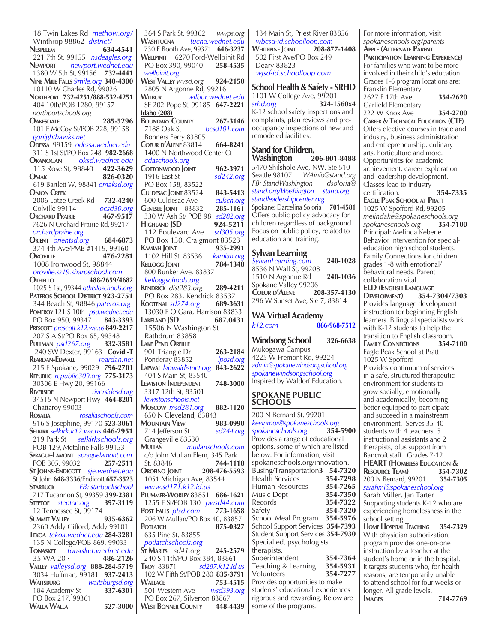18 Twin Lakes Rd *methow.org/* Winthrop 98862 *district/* **Nespelem 634-4541** 221 7th St, 99155 *nsdeagles.org* **Newport** *newport.wednet.edu* 1380 W 5th St, 99156 **732-4441 Nine Mile Falls** *9mile.org* **340-4300** 10110 W Charles Rd, 99026 **Northport 732-4251/888-532-4251** 404 10th/POB 1280, 99157  *northportschools.org* **Oakesdale 285-5296** 101 E McCoy St/POB 228, 99158  *gonighthawks.net*  **Odessa** 99159*odessa.wednet.edu* 311 S 1st St/PO Box 248 **982-2668 Okanogan** *oksd.wednet.edu* 115 Rose St, 98840**422-3629 Omak 826-0320** 619 Bartlett W, 98841 *omaksd.org* **Onion Creek** 2006 Lotze Creek Rd **732-4240** Colville 99114 *ocsd30.org* **Orchard Prairie 467-9517** 7626 N Orchard Prairie Rd, 99217  *orchardprairie.org* **Orient** *orientsd.org* **684-6873** 374 4th Ave/PMB #1419, 99160 **Oroville 476-2281** 1008 Ironwood St, 98844  *oroville.ss19.sharpschool.com* **Othello 488-2659/4682** 1025 S 1st, 99344 *othelloschools.org* **Pateros School District 923-2751** 344 Beach St, 98846 *pateros.org* **Pomeroy** 121 S 10th *psd.wednet.edu* PO Box 950, 99347 **Prescott** *prescott.k12.wa.us***849-2217** 207 S A St/PO Box 65, 99348 **Pullman** *psd267.org* **332-3581** 240 SW Dexter, 99163 **Covid -T Reardan-Edwall** *reardan.net* 215 E Spokane*,* 99029 **796-2701 Republic** *republic309.org* **775-3173** 30306 E Hwy 20, 99166 **Riverside** *riversidesd.org* 34515 N Newport Hwy **464-8201** Chattaroy 99003 **Rosalia** *rosaliaschools.com* 916 S Josephine, 99170 **523-3061 Selkirk** *selkirk.k12.wa.us* **446-2951** 219 Park St *selkirkschools.org* POB 129, Metaline Falls 99153 **Sprague-Lamont** *spraguelamont.com* POB 305, 99032 **St Johns-Endicott** *sje.wednet.edu* St John **648-3336**/Endicott **657-3523 Starbuck** *FB: starbuckschool*  717 Tucannon St, 99359 **399-2381 Steptoe** *steptoe.org* **397-3119** 12 Tennessee St, 99174 **Summit Valley 935-6362**  2360 Addy Gifford, Addy 99101 **Tekoa** *tekoa.wednet.edu* **284-3281** 135 N College/POB 869, 99033<br>**TONASKET** tonasket.wednet.ed **Tonasket** *tonasket.wednet.edu* 35 WA-20 · **Valley** *valleysd.org* **888-284-5719** 3034 Huffman*,* 99181 **937-2413 WAITSBURG** *waitsburgsd.org*<br>184 Academy St **337-6301** 184 Academy St PO Box 217, 99361 **Walla Walla 527-3000**

 364 S Park St, 99362 *wwps.org* **Washtucna** *tucna.wednet.edu*  730 E Booth Ave, 99371 **646-3237 WELLPINIT** 6270 Ford-Wellpinit Rd<br>PO Box 390, 99040 **258-4535**  PO Box 390, 99040 **258-4535**  *wellpinit.org* **West Valley** *wvsd.org* **924-2150** 2805 N Argonne Rd, 99216<br>WILBUR *wilbur.wedne* **Wilbur** *wilbur.wednet.edu* SE 202 Pope St, 99185 **647-2221 Idaho (208) BOUNDARY COUNTY** 267-3146<br>7188 Oak St bcsd101.com 7188 Oak St *bcsd101.com* Bonners Ferry 83805 **Coeur d'Alene** 83814 **664-8241**  1400 N Northwood Center Ct  *cdaschools.org* **COTTONWOOD JOINT** 962-3971<br>1916 East St sd242.org 1916 East St *sd242.org* PO Box 158, 83522 **CULDESAC JOINT** 83524 **843-5413**<br>600 Culdesac Ave culsch.org 600 Culdesac Ave *culsch.org* **GENESEE JOINT 83832**  330 W Ash St/ POB 98 *sd282.org* **HIGHLAND JSD 924-5211**<br>112 Boulevard Ave *sd305.org* 112 Boulevard Ave PO Box 130, Craigmont 83523 **KAMIAH JOINT 935-2991**<br>1102 Hill St, 83536 *kamiah.org*  1102 Hill St, 83536 *kamiah.org* **KELLOGG** JOINT 800 Bunker Ave*,* 83837  *kelloggschools.org* **Kendrick** *dist283.org* **289-4211** PO Box 283, Kendrick 83537 **Kootenai** *sd274.org* **689-3631** 13030 E O'Gara, Harrison 83833 **Lakeland JSD 687.0431** 15506 N Washington St Rathdrum 83858 **Lake Pend Oreille** 901 Triangle Dr **263-2184**  Ponderay 83852 *lposd.org* **Lapwai** *lapwaidistrict.org* **843-2622** 404 S Main St, 83540 **Lewiston Independent 748-3000** 3317 12th St, 83501 *lewistonschools.net* **Moscow** *msd281.org* **882-1120**  650 N Cleveland,  $\overline{8}3843$ <br>MOUNTAIN VIEW 983-0990 **MOUNTAIN VIEW** 983-0990<br>
714 Jefferson St sd244.org 714 Jefferson St *sd244.org* Grangeville 83530<br>MULLAN *mull* **Mullan** *mullanschools.com* c/o John Mullan Elem, 345 Park<br>St, 83846 744-1118 St, 83846 **744-1118 Orofino Joint 208-476-5593** 1051 Michigan Ave, 83544  *www.sd171.k12.id.us* **Plummer-Worley** 83851 **686-1621** 1255 E St/POB 130 *pwsd44.com* **Post Falls** *pfsd.com* **773-1658 206 W Mullan/PO Box 40, 83857**<br>**225-0327 BOTLATCH Potlatch 875-0327** 635 Pine St, 83855 *potlatchschools.org* **St Maries** *sd41.org* **245-2579** 240 S 11th/PO Box 384, 83861<br>TROY 83871 sd287.k12.id. **Troy** 83871 *sd287.k12.id.us*  102 W Fifth St/POB 280 **835-3791 WALLACE 753-4515**<br>501 Western Ave *wsd393.org* 501 Western Ave PO Box 267, Silverton 83867<br>VEST BONNER COUNTY 448-4439 **West Bonner County 448-4439**

 134 Main St, Priest River 83856  *wbcsd-id.schoolloop.com* **WHITEPINE JOINT**  502 First Ave/PO Box 249 Deary 83823  *wjsd-id.schoolloop.com*

#### **School Health & Safety - SRHD**  1101 W College Ave, 99201 *srhd.org* **324-1560x4** K-12 school safety inspections and complaints, plan reviews and preoccupancy inspections of new and

remodeled facilities. **Stand for Children, Washington** 5470 Shilshole Ave, NW, Ste 510<br>Seattle 98107 WAinfo@stand.or *WAinfo@stand.org FB: StandWashington dsoloria@ stand.org/Washington stand.org standleadershipcenter.org* Spokane: Darcelina Soloria **701-4581** Offers public policy advocacy for children regardless of background. Focus on public policy, related to education and training.

#### **Sylvan Learning** *SylvanLearning.com* **240-1028** 8536 N Wall St, 99208 1510 N Argonne Rd **240-1036** Spokane Valley 99206 **Coeur d'Alene 208-357-4130**

296 W Sunset Ave, Ste 7, 83814

| <b>WA Virtual Academy</b> |              |
|---------------------------|--------------|
| $k12$ .com                | 866-968-7512 |

**Windsong School 326-6638** Mukogawa Campus 4225 W Fremont Rd, 99224 *admin@spokanewindsongschool.org spokanewindsongschool.org* Inspired by Waldorf Education.

# **SPOKANE PUBLIC SCHOOLS**

200 N Bernard St, 99201 *kevinmor@spokaneschools.org spokaneschools.org* **354-5900** Provides a range of educational options, some of which are listed below. For information, visit spokaneschools.org/innovation. Busing/Transportation**3 54-7320** Health Services **354-7298**<br>Human Resources **354-7265** Human Resources **354-7265** Music Dept<br>Records Records **354-7322** Safety **354-7320** School Meal Program **354-5976** School Support Services **354-7393** Student Support Services **354-7930** Special ed, psychologists, therapists. Superintendent **354-7364**<br>Teaching & Learning **354-5931** Teaching & Learning **354-5931** Volunteers **354-7277** Provides opportunities to make students' educational experiences rigorous and rewarding. Below are some of the programs.

*spokaneschools.org/parents* **Apple (Alternate Parent Participation Learning Experience)** For families who want to be more involved in their child's education. Grades 1-6 program locations are: Franklin Elementary 2627 E 17th Ave **354-2620** Garfield Elementary 222 W Knox Ave **354-2700 Career & Technical Education (CTE)**  Offers elective courses in trade and industry, business administration and entrepreneurship, culinary arts, horticulture and more. Opportunities for academic achievement, career exploration and leadership development. Classes lead to industry certification. **354-7335 Eagle Peak School at Pratt** 1025 W Spofford Rd, 99205 *melindake@spokaneschools.org spokaneschools.org* **354-7100** Principal: Melinda Keberle Behavior intervention for specialeducation high school students. Family Connections for children grades 1-8 with emotional/ behavioral needs. Parent collaboration vital.

For more information, visit

**ELD (English Language Development) 354-7304/7303** Provides language development instruction for beginning English learners. Bilingual specialists work with K-12 students to help the transition to English classroom.<br> **FAMILY CONNECTIONS** 354-7100 **FAMILY CONNECTIONS** Eagle Peak School at Pratt 1025 W Spofford Provides continuum of services in a safe, structured therapeutic environment for students to grow socially, emotionally and academically, becoming better equipped to participate and succeed in a mainstream environment. Serves 35-40 students with 4 teachers, 5 instructional assistants and 2 therapists, plus support from Bancroft staff. Grades 7-12. **HEART (HOMELESS EDUCATION & RESOURCE TEAM**<br> **200 N Bernard.** 99201 **354-7305** 200 N Bernard, 99201 **354-7305** *sarahmi@spokaneschool.org* Sarah Miller, Jan Tarter Supporting students K-12 who are experiencing homelessness in the school setting. **Home Hospital Teaching 354-7329** With physician authorization, program provides one-on-one instruction by a teacher at the student's home or in the hospital. It targets students who, for health reasons, are temporarily unable to attend school for four weeks or longer. All grade levels.<br>Images **Images 714-7769**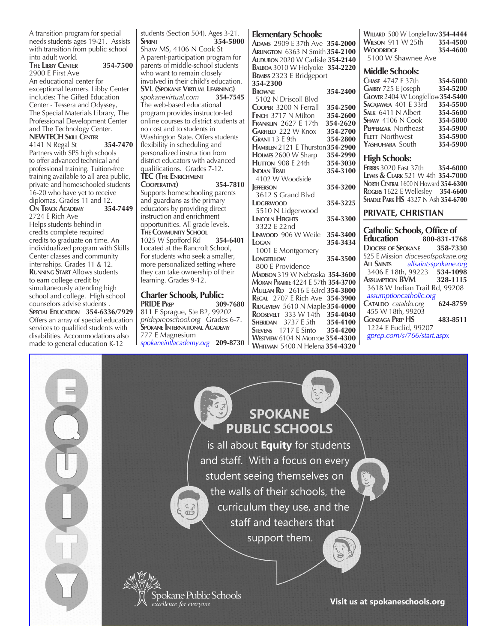A transition program for special needs students ages 19-21. Assists with transition from public school into adult world. **The Libby Center 354-7500** 2900 E First Ave An educational center for exceptional learners. Libby Center includes: The Gifted Education Center - Tessera and Odyssey, The Special Materials Library, The Professional Development Center and The Technology Center. **NEWTECH Skill Center**

4141 N Regal St **354-7470** Partners with SPS high schools to offer advanced technical and professional training. Tuition-free training available to all area public, private and homeschooled students 16-20 who have yet to receive diplomas. Grades 11 and 12.<br>**ON TRACK ACADEMY** 354-7449

**ON TRACK ACADEMY** 2724 E Rich Ave Helps students behind in credits complete required credits to graduate on time. An individualized program with Skills Center classes and community internships. Grades 11 & 12. **Running Start** Allows students to earn college credit by simultaneously attending high school and college. High school counselors advise students . **Special Education 354-6336/7929** Offers an array of special education services to qualified students with disabilities. Accommodations also made to general education K-12

students (Section 504). Ages 3-21.<br>**SPRINT** 354-580 **Sprint 354-5800** Shaw MS, 4106 N Cook St A parent-participation program for parents of middle-school students who want to remain closely involved in their child's education. **SVL (Spokane Virtual Learning)** *spokanevirtual.com* **354-7545** The web-based educational program provides instructor-led online courses to district students at no cost and to students in Washington State. Offers students flexibility in scheduling and personalized instruction from district educators with advanced qualifications. Grades 7-12. **TEC (The Enrichment Cooperative) 354-7810** Supports homeschooling parents and guardians as the primary educators by providing direct instruction and enrichment opportunities. All grade levels. **The Community School** 1025 W Spofford Rd **354-6401** Located at the Bancroft School, For students who seek a smaller, more personalized setting where they can take ownership of their learning. Grades 9-12.

# **Charter Schools, Public:**

**PRIDE Prep 309-7680** 811 E Sprague, Ste B2, 99202 *prideprepschool.org* Grades 6-7. **Spokane International Academy** 777 E Magnesium *spokaneintlacademy.org* **209-8730**

#### **Elementary Schools:**

**Adams** 2909 E 37th Ave **354-2000 Arlington** 6363 N Smith **354-2100 Audubon** 2020 W Carlisle **354-2140 Balboa** 3010 W Holyoke **354-2220 Bemiss** 2323 E Bridgeport

# **354-2300**

**Browne 354-2400** 5102 N Driscoll Blvd **Cooper** 3200 N Ferrall **354-2500 FINCH 3717 N Milton Franklin** 2627 E 17th **354-2620 GARFIELD 222 W Knox 354-2700**<br>**GRANT** 13 E 9th 354-2800 **GRANT** 13 E 9th **HAMBLEN** 2121 E Thurston **354-2900**<br>**HOLMES** 2600 W Sharp **354-2990 HOLMES** 2600 W Sharp **HUTTON 908 E 24th** 354-3030 **Indian Trail 354-3100** 4102 W Woodside<br> **IEFFERSON Jefferson 354-3200** 3612 S Grand Blvd **Lidgerwood 354-3225** 5510 N Lidgerwood **Lincoln Heights 354-3300** 3322 E 22nd **Linwood** 906 W Weile **354-3400 Logan 354-3434** 1001 E Montgomery **Longfellow 354-3500** 800 E Providence **Madison** 319 W Nebraska **354-3600 Moran Prairie** 4224 E 57th **354-3700 Mullan Rd** 2616 E 63rd **354-3800 Regal** 2707 E Rich Ave **354-3900 RIDGEVIEW 5610 N Maple 354-4000 Roosevelt** 333 W 14th **354-4040 SHERIDAN** 3737 E 5th **354-4100**<br>**STEVENS** 1717 E Sinto **354-4200 STEVENS 1717** E Sinto **Westview** 6104 N Monroe **354-4300 Whitman** 5400 N Helena **354-4320**

**Willard** 500 W Longfellow**354-4444 WILSON 911 W 25th** 354-4500<br>**WOODRIDGE** 354-4600 **WOODRIDGE** 5100 W Shawnee Ave

# **Middle Schools:**

**Chase** 4747 E 37th **354-5000 Garry** 725 E Joseph **354-5200 Glover** 2404 W Longfellow**354-5400 Sacajawea** 401 E 33rd **354-5500 SALK 6411 N Albert 354-5600**<br>**SHAW 4106 N Cook 354-5800 SHAW 4106 N Cook 354-5800**<br>**PEPPERZAK Northeast** 354-5900 **PEPPERZAK Northeast** 354-5900<br> **FLETT Northwest** 354-5900 **FLETT** Northwest **354-5900**<br>**Y**ASHUHARA South 354-5900 **YASHUHARA** South

# **High Schools:**

**Ferris** 3020 East 37th **354-6000 Lewis & Clark** 521 W 4th **354-7000 North Central** 1600 N Howard **354-6300 Rogers** 1622 E Wellesley **354-6600 Shadle Park HS** 4327 N Ash **354-6700**

# **PRIVATE, CHRISTIAN**

**Catholic Schools, Office of Education 800-831-1768 Diocese of Spokane 358-7330** 525 E Mission *dioceseofspokane.org* **All Saints** *allsaintsspokane.org* 3406 E 18th, 99223 **Assumption BVM 328-1115** 3618 W Indian Trail Rd, 99208  *assumptioncatholic.org* **Cataldo** *cataldo.org* **624-8759** 455 W 18th, 99203 **Gonzaga Prep HS 483-8511** 1224 E Euclid, 99207  *gprep.com/s/766/start.aspx*

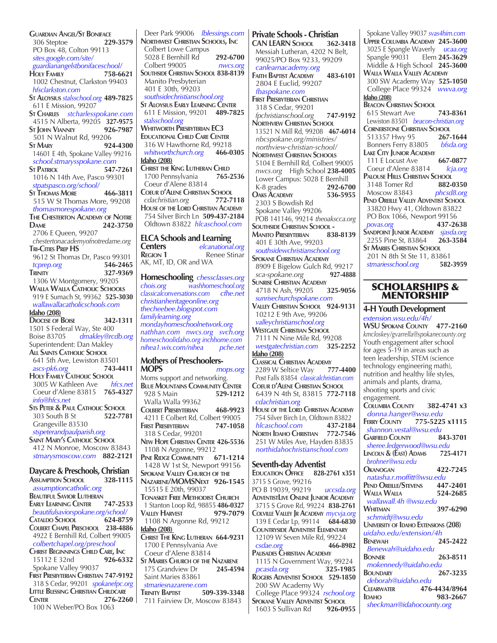**Guardian Angel/St Boniface** 306 Steptoe **229-3579** PO Box 48, Colton 99113  *sites.google.com/site/ guardianangelstbonifaceschool/* **Holy Family 758-6621** 1002 Chestnut, Clarkston 99403  *hfsclarkston.com* **St Aloysius** *stalsschool.org* **489-7825** 611 E Mission, 99207 **St Charles** *stcharlesspokane.com* 4515 N Alberta, 99205 **327-9575 ST IOHN VIANNEY**  501 N Walnut Rd, 99206 **St Mary 924-4300** 14601 E 4th, Spokane Valley 99216  *school.stmarysspokane.com* **ST PATRICK**  1016 N 14th Ave, Pasco 99301  *stpatspasco.org/school/* **St Thomas More 466-3811** 515 W St Thomas More, 99208  *thomasmorespokane.org* **The Chesterton Academy of Notre Dame 242-3750** 2706 E Queen, 99207  *chestertonacademyofnotredame.org* **Tri-Cities Prep HS** 9612 St Thomas Dr, Pasco 99301  *tcprep.org* **546-2465 TRINITY** 327-9369 1306 W Montgomery, 99205 **Walla Walla Catholic Schools** 919 E Sumach St, 99362 **525-3030**  *wallawallacatholicschools.com* **Idaho (208) Diocese of Boise 342-1311** 1501 S Federal Way, Ste 400 Boise 83705 *dmakley@rcdb.org* Superintendent: Dan Makley **All Saints Catholic School** 641 5th Ave, Lewiston 83501  *ascs-pk6.org* **743-4411 Holy Family Catholic School** 3005 W Kathleen Ave *hfcs.net* Coeur d'Alene 83815 **765-4327**  *info@hfcs.net* **Sts Peter & Paul Catholic School** 303 South **B** St Grangeville 83530  *stspeterandpaulparish.org* **Saint Mary's Catholic School** 412 N Monroe, Moscow 83843 *stmarysmoscow.com* **882-2121 Daycare & Preschools, Christian Assumption School 328-1115**  *assumptioncatholic.org* **Beautiful Savior Lutheran Early Learning Center 747-2533**  *beautifulsaviorspokane.org/school/* **Cataldo School 624-8759 Colbert Chapel Preschool 238-4886** 4922 E Bernhill Rd, Colbert 99005  *colbertchapel.org/preschool* **CHRIST BEGINNINGS CHILD CARE, INC**<br>15112 E 32nd<br>**926-6332**  15112 E 32nd **926-6332** Spokane Valley 99037 **First Presbyterian Christian 747-9192** 318 S Cedar, 99201 *spokanefpc.org*

**Little Blessing Christian Childcare Center 276-2260** 100 N Weber/PO Box 1063

 Deer Park 99006 *lblessings.com* **Northwest Christian Schools, Inc** Colbert Lowe Campus 5028 E Bernhill Rd **292-6700** Colbert 99005 *nwcs.org* **Southside Christian School 838-8139** Manito Presbyterian 401 E 30th, 99203  *southsidechristianschool.org* **St Aloysius Early Learning Center** 611 E Mission, 99201 **489-7825**  *stalsschool.org* **Whitworth Presbyterian EC3 Educational Child Care Center** 316 W Hawthorne Rd, 99218<br>whitworthchurch.org 466-0305  $which work done on the image.$ **Idaho (208) CHRIST THE KING LUTHERAN CHILD**<br>1700 Pennsylvania **1765-2536** 1700 Pennsylvania Coeur d'Alene 83814 **COEUR D'ALENE CHRISTIAN SCHOOL**<br>
cdachristian.org 772-7118  *cdachristian.org* **772-7118 House of the Lord Christian Academy** 754 Silver Birch Ln **509-437-2184** Oldtown 83822*hlcaschool.com* **ELCA Schools and Learning Centers** *elcanational.org* **Renee Stinar** AK, MT, ID, OR and WA **Homeschooling** *chessclasses.org chois.org washhomeschool.org classicalconversations.com cfhe.net christianheritageonline.org thecheebee.blogspot.com familylearning.org mondayhomeschoolnetwork.org nathhan.com nwcs.org**svch.org homeschoolidaho.org inchhome.com*  $nihea1.wix.com/nihea$ **Mothers of Preschoolers-MOPS** *mops.org* Moms support and networking. **Blue Mountains Community Center** 928 S Main **529-1212**  Walla Walla 99362 **Colbert Presbyterian 468-9923** 4211 E Colbert Rd, Colbert 99005<br>FIRST PRESBYTERIAN 747-1058 **FIRST PRESBYTERIAN**  318 S Cedar, 99201 **New Hope Christian Center 426-5536** 1108 N Argonne, 99212 **Pine Ridge Community 671-1214** 1428 W 1st St, Newport 99156 **Spokane Valley Church of the Nazarene/MOMSNext 926-1545** 15515 E 20th, 99037 **Tonasket Free Methodist Church** 1 Stanton Loop Rd, 98855 **486-0327 Valley Harvest 979-7079** 1108 N Argonne Rd, 99212 **Idaho (208) Christ The King Lutheran 664-9231** 1700 E Pennsylvania Ave Coeur d'Alene 83814 **St Maries Church of the Nazarene** 175 Grandview Dr

 Saint Maries 83861  *stmariesnazarene.com* **Trinity Baptist 509-339-3348** 711 Fairview Dr, Moscow 83843

 $c<sub>sdae.org</sub>$ 

**Palisades Christian Academy** 1115 N Government Way, 99224*pcasda.org* **325-1985 Rogers Adventist School 529-1850**

200 SW Academy Wy

1603 S Sullivan Rd **926-0955**

 College Place 99324 *rschool.org* **SPOKANE VALLEY ADVENTIST SCHOOL**<br>1603 S Sullivan Rd<br>**926-0955** 

**Private Schools - Christian CAN LEARN School 362-3418** Messiah Lutheran, 4202 N Belt, 99025/PO Box 9233, 99209  *canlearnacademy.org* **Faith Baptist Academy 483-6101** 2804 E Euclid, 99207  *fbaspokane.com* **First Presbyterian Christian** 318 S Cedar, 99201  *fpchristianschool.org* **747-9192 Northview Christian School** 13521 N Mill Rd, 99208 **467-6014**  *nbcspokane.org/ministries/ northview-christian-school/* **Northwest Christian Schools** 5104 E Bernhill Rd, Colbert 99005  *nwcs.org* High School **238-4005** Lower Campus: 5028 E Bernhill<br>K-8 grades 292-6700 K-8 grades **Oaks Academy 536-5955** 2303 S Bowdish Rd Spokane Valley 99206 POB 141146, 99214 *theoakscca.org* **Southside Christian School - Manito Presbyterian 838-8139** 401 E 30th Ave, 99203  *southsidewchristianschool.org* **Spokane Christian Academy** 8909 E Bigelow Gulch Rd, 99217  *sca-spokane.org* **927-4888 SUNRISE CHRISTIAN ACADEMY**<br>4718 N Ash, 99205 **325-9056**  4718 N Ash, 99205 **325-9056**   *sunrisechurchspokane.com* **Valley Christian School 924-9131** 10212 E 9th Ave, 99206  *valleychristianschool.org* **Westgate Christian School** 7111 N Nine Mile Rd, 99208  *westgatechristian.com* **325-2252 Idaho (208) Classical Christian Academy** 2289 W Seltice Way **777-4400** Post Falls 83854 *classicalchristian.com* **Coeur d'Alene Christian School** 6439 N 4th St, 83815 **772-7118**  *cdachristian.org* **House of the Lord Christian Academy** 754 Silver Birch Ln, Oldtown 83822  *hlcaschool.com* **437-2184 North Idaho Christian 772-7546** 251 W Miles Ave, Hayden 83835  *northidahochristianschool.com* **Seventh-day Adventist Education Office 828-2761 x351** 3715 S Grove, 99216 PO B 19039, 99219 *uccsda.org* **AdventistLive Online Junior Academy** 3715 S Grove Rd, 99224 **838-2761 Colville Valley Jr Academy** *mycvja.org* 139 E Cedar Lp, 99114 **684-6830 Countryside Adventist Elementary** 12109 W Seven Mile Rd, 99224<br>csdae.org **466-8982** 

 Spokane Valley 99037 *svas4him.com* **Upper Columbia Academy 245-3600** 3025 E Spangle Waverly *ucaa.org* Spangle 99031 Elem **245-3629** Middle & High School **245-3600 Walla Walla Valley Academy** 300 SW Academy Way **525-1050** College Place 99324 *wwva.org* **Idaho (208) Beacon Christian School** 615 Stewart Ave **743-8361** Lewiston 83501 *beacon-christian.org* **CORNERSTONE CHRISTIAN SCHOOL**<br>513357 Hwy 95 **267-1644** 513357 Hwy 95 Bonners Ferry 83805 *bfsda.org* **Lake City Junior Academy** 111 E Locust Ave **667-0877** Coeur d'Alene 83814*lcja.org* **PALOUSE HILLS CHRISTIAN SCHOOL**<br>3148 Tomer Rd<br>**882-0350** 3148 Tomer Rd Moscow 83843 *phcsd8.org* **Pend Oreille Valley Adventist School** 33820 Hwy 41, Oldtown 83822 PO Box 1066, Newport 99156  *povas.org* **437-2638 Sandpoint Junior Academy** *sjasda.org* 2255 Pine St, 83864 **263-3584 St Maries Christian School** 201 N 8th St Ste 11, 83861  *stmariesschool.org* **582-3959**

# SCHOLARSHIPS & MENTORSHIP

**4-H Youth Development** *extension.wsu.edu/4h/* **WSU Spokane County 477-2160** *kmcloskey/gvarrella@spokanecounty.org* Youth engagement after school for ages 5-19 in areas such as teen leadership, STEM (science technology engineering math), nutrition and healthy life styles, animals and plants, drama, shooting sports and civic engagement. **Columbia County 382-4741 x3** *donna.hanger@wsu.edu* **Ferry County 775-5225 x1115**  *shannon.vestal@wsu.edu* **GARFIELD COUNTY**  *sheree.ledgerwood@wsu.edu*  **Lincoln & (East) Adams 725-4171**  *brohner@wsu.edu* **Okanogan 422-7245**  *natasha.r.moffitt@wsu.edu* **Pend Oreille/Stevens 447-2401 Walla Walla 524-2685**   *wallawall.4h @wsu.edu*  **Whitman 397-6290**   *schmidtj@wsu.edu* **University of Idaho Extensions (208)**  *uidaho.edu/extension/4h* **Benewah 245-2422**  *Benewah@uidaho.edu* **Bonner 263-8511**  *mokennedy@uidaho.edu* **Boundary 267-3235**  *deborah@uidaho.edu* **Clearwater 476-4434/8964 Idaho 983-2667**  *sheckman@idahocounty.org*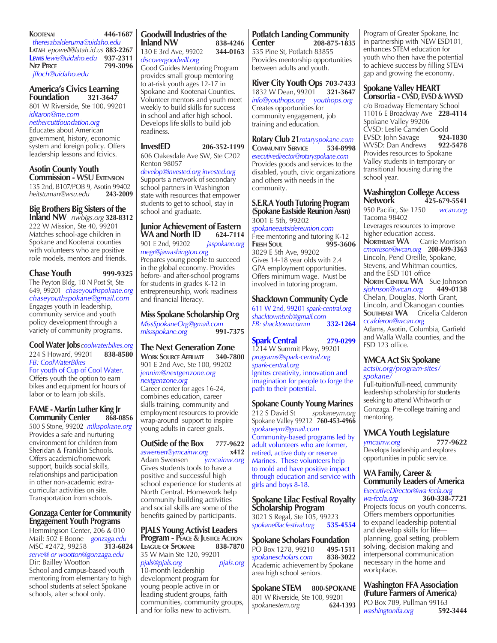**Kootenai 446-1687**  *theresabalderuma@uidaho.edu* **Latah** *epowell@latah.id.us* **883-2267 Lewis** *lewis@uidaho.edu* **937-2311** **Nez Perce 799-3096**  *jfloch@uidaho.edu*

# **America's Civics Learning Foundation**

801 W Riverside, Ste 100, 99201 *iditaron@me.com*

# *nethercuttfoundation.org*

Educates about American government, history, economic system and foreign policy. Offers leadership lessons and fcivics.

#### **Asotin County Youth Commission - WSU Extension**

135 2nd, B107/POB 9, Asotin 99402<br>heitstuman@wsu.edu 243-2009 *heitstuman@wsu.edu* **243-2009**

# **Big Brothers Big Sisters of the**

**Inland NW** *nwbigs.org* **328-8312** 222 W Mission, Ste 40, 99201 Matches school-age children in Spokane and Kootenai counties with volunteers who are positive role models, mentors and friends.

# **Chase Youth 999-9325**

The Peyton Bldg, 10 N Post St, Ste 649, 99201 *chaseyouthspokane.org chaseyouthspokane@gmail.com* Engages youth in leadership, community service and youth policy development through a variety of community programs.

#### **Cool Water Jobs***coolwaterbikes.org* 224 S Howard, 99201 **838-8580** *FB: CoolWaterBikes*

For youth of Cup of Cool Water. Offers youth the option to earn bikes and equipment for hours of labor or to learn job skills.

# **FAME - Martin Luther King Jr Community Center 868-0856**

500 S Stone, 99202 *mlkspokane.org* Provides a safe and nurturing environment for children from Sheridan & Franklin Schools. Offers academic/homework support, builds social skills, relationships and participation in other non-academic extracurricular activities on site. Transportation from schools.

# **Gonzaga Center for Community Engagement Youth Programs**

Hemmingson Center, 206 & 010 Mail: 502 E Boone *gonzaga.edu* MSC #2472, 99258 *serve@ or wootton@gonzaga.edu* Dir: Bailley Wootton School and campus-based youth mentoring from elementary to high school students at select Spokane schools, after school only.

# **Goodwill Industries of the Inland NW** 130 E 3rd Ave, 99202 **344-0163** *discovergoodwill.org*

Good Guides Mentoring Program provides small group mentoring to at-risk youth ages 12-17 in Spokane and Kootenai Counties. Volunteer mentors and youth meet weekly to build skills for success in school and after high school. Develops life skills to build job readiness.

# **InvestED 206-352-1199**

606 Oakesdale Ave SW, Ste C202 Renton 98057 *develop@invested.org invested.org*

Supports a network of secondary school partners in Washington state with resources that empower students to get to school, stay in school and graduate.

# **Junior Achievement of Eastern WA and North ID** 624-7114<br>901 E 2nd, 99202 *jaspokane.org*

901 E 2nd, 99202 *jaspokane.org megr@jawashington.org* Prepares young people to succeed in the global economy. Provides before- and after-school programs for students in grades K-12 in entrepreneurship, work readiness and financial literacy.

**Miss Spokane Scholarship Org** *MissSpokaneOrg@gmail.com*  $m$ *issspokane.org* 

# **The Next Generation Zone**

**Work Source Affiliate 340-7800** 901 E 2nd Ave, Ste 100, 99202 *jennim@nextgenzone.org nextgenzone.org*

Career center for ages 16-24, combines education, career skills training, community and employment resources to provide wrap-around support to inspire young adults in career goals.

# **OutSide of the Box** 777-9622<br>
<u>aswensen@ymcainw.org</u> x412

 $a$ swensen@ymcainw.org Adam Swensen *ymcainw.org*

Gives students tools to have a positive and successful high school experience for students at North Central. Homework help community building activities and social skills are some of the benefits gained by participants.

**PJALS Young Activist Leaders Program - Peace & Justice Action LEAGUE OF SPOKANE** 35 W Main Ste 120, 99201

#### *pjals@pjals.org pjals.org* 10-month leadership development program for

young people active in or leading student groups, faith communities, community groups, and for folks new to activism.

#### **Potlatch Landing Community Center 208-875-1835** 535 Pine St, Potlatch 83855 Provides mentorship opportunities between adults and youth.

**River City Youth Ops 703-7433** 1832 W Dean, 99201 **321-3647** *info@youthops.org youthops.org* Creates opportunities for community engagement, job training and education.

**Rotary Club 21***rotaryspokane.com* **Community Service 534-8998** *executivedirector@rotaryspokane.com*  Provides goods and services to the disabled, youth, civic organizations and others with needs in the community.

#### **S.E.R.A Youth Tutoring Program (Spokane Eastside Reunion Assn)** 3001 E 5th, 99202

*spokaneeastsidereunion.com* Free mentoring and tutoring K-12 **Fresh Soul 995-3606** 3029 E 5th Ave, 99202 Gives 14-18 year olds with 2.4 GPA employment opportunities. Offers minimum wage. Must be involved in tutoring program.

# **Shacktown Community Cycle**

611 W 2nd, 99201 *spark-central.org shacktownbnb@gmail.com FB: shacktowncomm* **332-1264**

# **Spark Central 279-0299**

1214 W Summit Pkwy, 99201 *programs@spark-central.org spark-central.org*  Ignites creativity, innovation and imagination for people to forge the path to their potential.

# **Spokane County Young Marines**

212 S David St *spokaneym.org* Spokane Valley 99212 **760-453-4966** *spokaneym@gmail.com* Community-based programs led by adult volunteers who are former, retired, active duty or reserve Marines. These volunteers help to mold and have positive impact through education and service with girls and boys 8-18.

### **Spokane Lilac Festival Royalty Scholarship Program**

3021 S Regal, Ste 105, 99223 *spokanelilacfestival.org* **535-4554**

# **Spokane Scholars Foundation**  PO Box 1278, 99210 **495-1511**

*spokanescholars.com* **838-3022** Academic achievement by Spokane area high school seniors.

**Spokane STEM 800-SPOKANE** 801 W Riverside, Ste 100, 99201<br>spokanestem.org 624-1393  $spokanestem.org$ 

Program of Greater Spokane, Inc in partnership with NEW ESD101, enhances STEM education for youth who then have the potential to achieve success by filling STEM gap and growing the economy.

# **Spokane Valley HEART**

**Consortia - CVSD, EVSD & WVSD** c/o Broadway Elementary School 11016 E Broadway Ave **228-4114** Spokane Valley 99206 CVSD: Leslie Camden Goold<br>EVSD: John Savage **924-1830** EVSD: John Savage WVSD: Dan Andrews **922-5478** Provides resources to Spokane Valley students in temporary or transitional housing during the school year.

# **Washington College Access Network 425-679-5541**

950 Pacific, Ste 1250 *wcan.org* Tacoma 98402 Leverages resources to improve higher education access. **NORTHEAST WA** Carrie Morrison *cmorrisson@wcan.org* **208-699-3363** Lincoln, Pend Oreille, Spokane, Stevens, and Whitman counties, and the ESD 101 office **NORTH CENTRAL WA** Sue Johnson<br> **Siohnson@wcan.org** 449-0138  $s$ johnson@wcan.org Chelan, Douglas, North Grant, Lincoln, and Okanogan counties **SOUTHEAST WA** Cricelia Calderon *ccalderon@wcan.org*

Adams, Asotin, Columbia, Garfield and Walla Walla counties, and the ESD 123 office.

# **YMCA Act Six Spokane**

*actsix.org/program-sites/ spokane/*

Full-tuition/full-need, community leadership scholarship for students seeking to attend Whitworth or Gonzaga. Pre-college training and mentoring.

# **YMCA Youth Legislature**

*ymcainw.org* **777-9622** Develops leadership and explores opportunities in public service.

# **WA Family, Career & Community Leaders of America**

*ExecutiveDirector@wa-fccla.org wa-fccla.org* **360-338-7721** Projects focus on youth concerns. Offers members opportunities to expand leadership potential and develop skills for life planning, goal setting, problem solving, decision making and interpersonal communication necessary in the home and workplace.

# **Washington FFA Association (Future Farmers of America)**

PO Box 789, Pullman 99163<br>washingtonffa.org 592-3444  $washingtonffa.org$